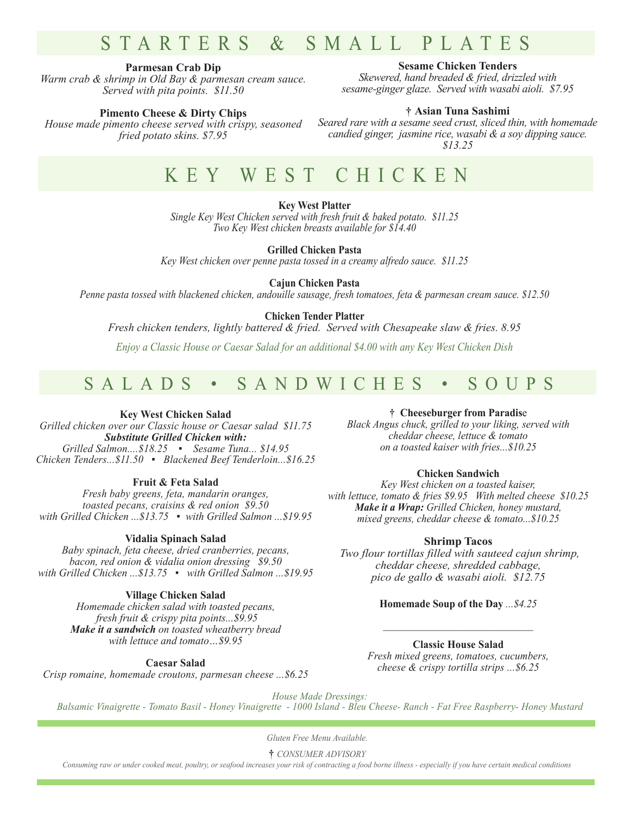# STARTERS & SMALL PLATES

#### **Parmesan Crab Dip**

*Warm crab & shrimp in Old Bay & parmesan cream sauce. Served with pita points. \$11.50*

#### **Pimento Cheese & Dirty Chips**

*House made pimento cheese served with crispy, seasoned fried potato skins. \$7.95*

**Sesame Chicken Tenders** 

*Skewered, hand breaded & fried, drizzled with sesame-ginger glaze. Served with wasabi aioli. \$7.95*

#### **† Asian Tuna Sashimi**

*Seared rare with a sesame seed crust, sliced thin, with homemade candied ginger, jasmine rice, wasabi & a soy dipping sauce. \$13.25*

## KEY WEST CHICKEN

**Key West Platter** 

*Single Key West Chicken served with fresh fruit & baked potato. \$11.25 Two Key West chicken breasts available for \$14.40*

**Grilled Chicken Pasta**

*Key West chicken over penne pasta tossed in a creamy alfredo sauce. \$11.25*

**Cajun Chicken Pasta**

*Penne pasta tossed with blackened chicken, andouille sausage, fresh tomatoes, feta & parmesan cream sauce. \$12.50*

#### **Chicken Tender Platter**

*Fresh chicken tenders, lightly battered & fried. Served with Chesapeake slaw & fries. 8.95*

*Enjoy a Classic House or Caesar Salad for an additional \$4.00 with any Key West Chicken Dish*

### SALADS • SANDWICHES • SOUPS

#### **Key West Chicken Salad**

*Grilled chicken over our Classic house or Caesar salad \$11.75 Substitute Grilled Chicken with: Grilled Salmon....\$18.25 ▪ Sesame Tuna... \$14.95 Chicken Tenders...\$11.50 ▪ Blackened Beef Tenderloin...\$16.25*

#### **Fruit & Feta Salad**

*Fresh baby greens, feta, mandarin oranges, toasted pecans, craisins & red onion \$9.50 with Grilled Chicken ...\$13.75 ▪ with Grilled Salmon ...\$19.95*

#### **Vidalia Spinach Salad**

*Baby spinach, feta cheese, dried cranberries, pecans, bacon, red onion & vidalia onion dressing \$9.50 with Grilled Chicken ...\$13.75 ▪ with Grilled Salmon ...\$19.95*

#### **Village Chicken Salad**

*Homemade chicken salad with toasted pecans, fresh fruit & crispy pita points...\$9.95 Make it a sandwich on toasted wheatberry bread with lettuce and tomato…\$9.95*

**Caesar Salad**

*Crisp romaine, homemade croutons, parmesan cheese ...\$6.25*

**† Cheeseburger from Paradis**e

*Black Angus chuck, grilled to your liking, served with cheddar cheese, lettuce & tomato on a toasted kaiser with fries...\$10.25*

#### **Chicken Sandwich**

*Key West chicken on a toasted kaiser, with lettuce, tomato & fries \$9.95 With melted cheese \$10.25 Make it a Wrap: Grilled Chicken, honey mustard, mixed greens, cheddar cheese & tomato...\$10.25*

#### **Shrimp Tacos**

 *Two flour tortillas filled with sauteed cajun shrimp, cheddar cheese, shredded cabbage, pico de gallo & wasabi aioli. \$12.75*

#### **Homemade Soup of the Day** *...\$4.25*

*\_\_\_\_\_\_\_\_\_\_\_\_\_\_\_\_\_\_\_\_\_\_\_\_\_\_\_\_\_*

**Classic House Salad** *Fresh mixed greens, tomatoes, cucumbers, cheese & crispy tortilla strips ...\$6.25*

*House Made Dressings:* 

*Balsamic Vinaigrette - Tomato Basil - Honey Vinaigrette - 1000 Island - Bleu Cheese- Ranch - Fat Free Raspberry- Honey Mustard*

*Gluten Free Menu Available.*

**†** *CONSUMER ADVISORY*

*Consuming raw or under cooked meat, poultry, or seafood increases your risk of contracting a food borne illness - especially if you have certain medical conditions*